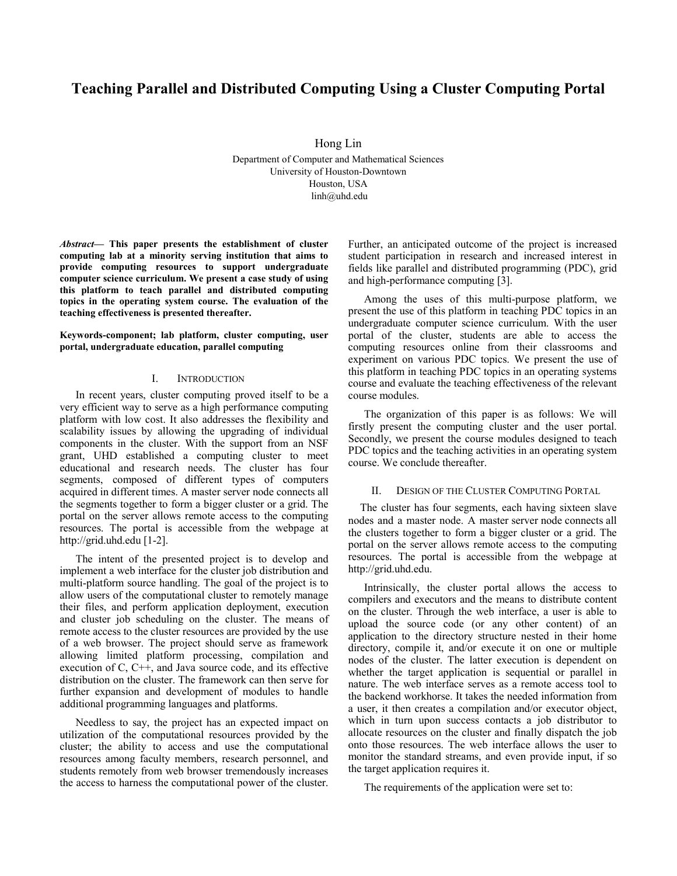# **Teaching Parallel and Distributed Computing Using a Cluster Computing Portal**

Hong Lin Department of Computer and Mathematical Sciences University of Houston-Downtown Houston, USA linh@uhd.edu

*Abstract***— This paper presents the establishment of cluster computing lab at a minority serving institution that aims to provide computing resources to support undergraduate computer science curriculum. We present a case study of using this platform to teach parallel and distributed computing topics in the operating system course. The evaluation of the teaching effectiveness is presented thereafter.** 

**Keywords-component; lab platform, cluster computing, user portal, undergraduate education, parallel computing** 

#### I. INTRODUCTION

In recent years, cluster computing proved itself to be a very efficient way to serve as a high performance computing platform with low cost. It also addresses the flexibility and scalability issues by allowing the upgrading of individual components in the cluster. With the support from an NSF grant, UHD established a computing cluster to meet educational and research needs. The cluster has four segments, composed of different types of computers acquired in different times. A master server node connects all the segments together to form a bigger cluster or a grid. The portal on the server allows remote access to the computing resources. The portal is accessible from the webpage at http://grid.uhd.edu [1-2].

The intent of the presented project is to develop and implement a web interface for the cluster job distribution and multi-platform source handling. The goal of the project is to allow users of the computational cluster to remotely manage their files, and perform application deployment, execution and cluster job scheduling on the cluster. The means of remote access to the cluster resources are provided by the use of a web browser. The project should serve as framework allowing limited platform processing, compilation and execution of C, C++, and Java source code, and its effective distribution on the cluster. The framework can then serve for further expansion and development of modules to handle additional programming languages and platforms.

Needless to say, the project has an expected impact on utilization of the computational resources provided by the cluster; the ability to access and use the computational resources among faculty members, research personnel, and students remotely from web browser tremendously increases the access to harness the computational power of the cluster. Further, an anticipated outcome of the project is increased student participation in research and increased interest in fields like parallel and distributed programming (PDC), grid and high-performance computing [3].

Among the uses of this multi-purpose platform, we present the use of this platform in teaching PDC topics in an undergraduate computer science curriculum. With the user portal of the cluster, students are able to access the computing resources online from their classrooms and experiment on various PDC topics. We present the use of this platform in teaching PDC topics in an operating systems course and evaluate the teaching effectiveness of the relevant course modules.

The organization of this paper is as follows: We will firstly present the computing cluster and the user portal. Secondly, we present the course modules designed to teach PDC topics and the teaching activities in an operating system course. We conclude thereafter.

#### II. DESIGN OF THE CLUSTER COMPUTING PORTAL

The cluster has four segments, each having sixteen slave nodes and a master node. A master server node connects all the clusters together to form a bigger cluster or a grid. The portal on the server allows remote access to the computing resources. The portal is accessible from the webpage at http://grid.uhd.edu.

Intrinsically, the cluster portal allows the access to compilers and executors and the means to distribute content on the cluster. Through the web interface, a user is able to upload the source code (or any other content) of an application to the directory structure nested in their home directory, compile it, and/or execute it on one or multiple nodes of the cluster. The latter execution is dependent on whether the target application is sequential or parallel in nature. The web interface serves as a remote access tool to the backend workhorse. It takes the needed information from a user, it then creates a compilation and/or executor object, which in turn upon success contacts a job distributor to allocate resources on the cluster and finally dispatch the job onto those resources. The web interface allows the user to monitor the standard streams, and even provide input, if so the target application requires it.

The requirements of the application were set to: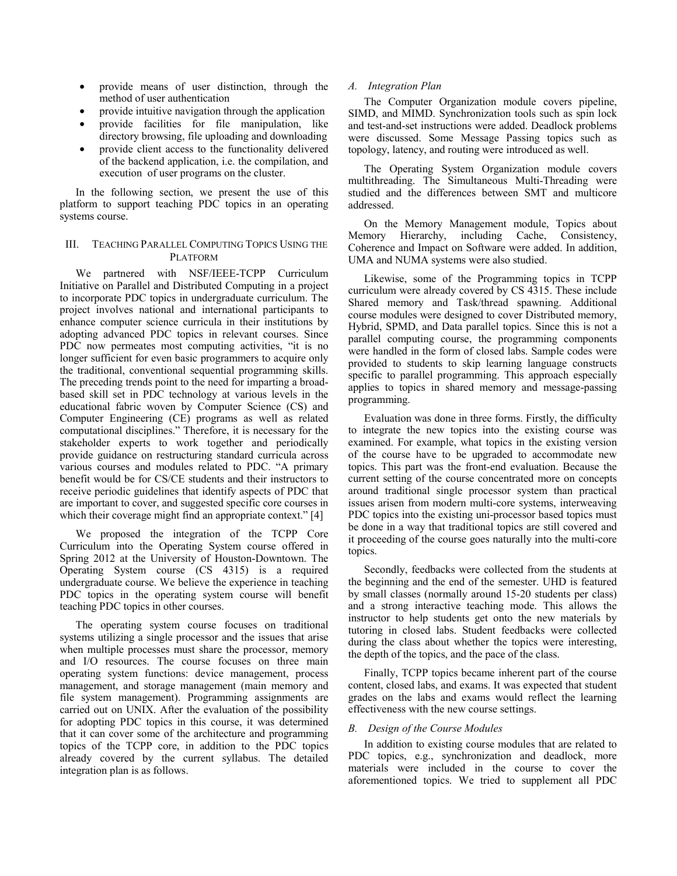- provide means of user distinction, through the method of user authentication
- provide intuitive navigation through the application
- provide facilities for file manipulation, like directory browsing, file uploading and downloading
- provide client access to the functionality delivered of the backend application, i.e. the compilation, and execution of user programs on the cluster.

In the following section, we present the use of this platform to support teaching PDC topics in an operating systems course.

## III. TEACHING PARALLEL COMPUTING TOPICS USING THE PLATFORM

We partnered with NSF/IEEE-TCPP Curriculum Initiative on Parallel and Distributed Computing in a project to incorporate PDC topics in undergraduate curriculum. The project involves national and international participants to enhance computer science curricula in their institutions by adopting advanced PDC topics in relevant courses. Since PDC now permeates most computing activities, "it is no longer sufficient for even basic programmers to acquire only the traditional, conventional sequential programming skills. The preceding trends point to the need for imparting a broadbased skill set in PDC technology at various levels in the educational fabric woven by Computer Science (CS) and Computer Engineering (CE) programs as well as related computational disciplines." Therefore, it is necessary for the stakeholder experts to work together and periodically provide guidance on restructuring standard curricula across various courses and modules related to PDC. "A primary benefit would be for CS/CE students and their instructors to receive periodic guidelines that identify aspects of PDC that are important to cover, and suggested specific core courses in which their coverage might find an appropriate context." [4]

We proposed the integration of the TCPP Core Curriculum into the Operating System course offered in Spring 2012 at the University of Houston-Downtown. The Operating System course (CS 4315) is a required undergraduate course. We believe the experience in teaching PDC topics in the operating system course will benefit teaching PDC topics in other courses.

The operating system course focuses on traditional systems utilizing a single processor and the issues that arise when multiple processes must share the processor, memory and I/O resources. The course focuses on three main operating system functions: device management, process management, and storage management (main memory and file system management). Programming assignments are carried out on UNIX. After the evaluation of the possibility for adopting PDC topics in this course, it was determined that it can cover some of the architecture and programming topics of the TCPP core, in addition to the PDC topics already covered by the current syllabus. The detailed integration plan is as follows.

## *A. Integration Plan*

The Computer Organization module covers pipeline, SIMD, and MIMD. Synchronization tools such as spin lock and test-and-set instructions were added. Deadlock problems were discussed. Some Message Passing topics such as topology, latency, and routing were introduced as well.

The Operating System Organization module covers multithreading. The Simultaneous Multi-Threading were studied and the differences between SMT and multicore addressed.

On the Memory Management module, Topics about Memory Hierarchy, including Cache, Consistency, Coherence and Impact on Software were added. In addition, UMA and NUMA systems were also studied.

Likewise, some of the Programming topics in TCPP curriculum were already covered by CS 4315. These include Shared memory and Task/thread spawning. Additional course modules were designed to cover Distributed memory, Hybrid, SPMD, and Data parallel topics. Since this is not a parallel computing course, the programming components were handled in the form of closed labs. Sample codes were provided to students to skip learning language constructs specific to parallel programming. This approach especially applies to topics in shared memory and message-passing programming.

Evaluation was done in three forms. Firstly, the difficulty to integrate the new topics into the existing course was examined. For example, what topics in the existing version of the course have to be upgraded to accommodate new topics. This part was the front-end evaluation. Because the current setting of the course concentrated more on concepts around traditional single processor system than practical issues arisen from modern multi-core systems, interweaving PDC topics into the existing uni-processor based topics must be done in a way that traditional topics are still covered and it proceeding of the course goes naturally into the multi-core topics.

Secondly, feedbacks were collected from the students at the beginning and the end of the semester. UHD is featured by small classes (normally around 15-20 students per class) and a strong interactive teaching mode. This allows the instructor to help students get onto the new materials by tutoring in closed labs. Student feedbacks were collected during the class about whether the topics were interesting, the depth of the topics, and the pace of the class.

Finally, TCPP topics became inherent part of the course content, closed labs, and exams. It was expected that student grades on the labs and exams would reflect the learning effectiveness with the new course settings.

#### *B. Design of the Course Modules*

In addition to existing course modules that are related to PDC topics, e.g., synchronization and deadlock, more materials were included in the course to cover the aforementioned topics. We tried to supplement all PDC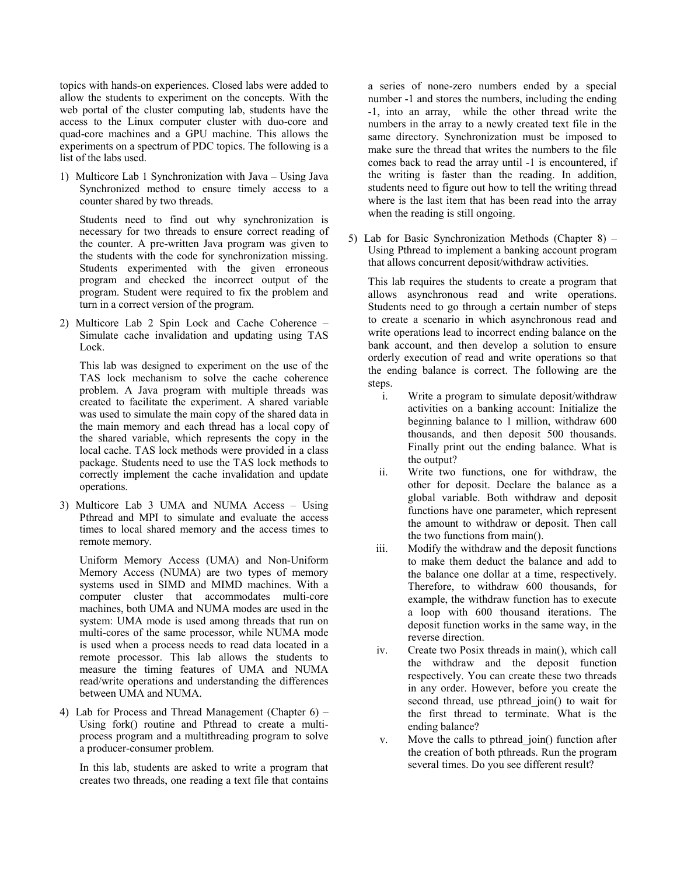topics with hands-on experiences. Closed labs were added to allow the students to experiment on the concepts. With the web portal of the cluster computing lab, students have the access to the Linux computer cluster with duo-core and quad-core machines and a GPU machine. This allows the experiments on a spectrum of PDC topics. The following is a list of the labs used.

1) Multicore Lab 1 Synchronization with Java – Using Java Synchronized method to ensure timely access to a counter shared by two threads.

Students need to find out why synchronization is necessary for two threads to ensure correct reading of the counter. A pre-written Java program was given to the students with the code for synchronization missing. Students experimented with the given erroneous program and checked the incorrect output of the program. Student were required to fix the problem and turn in a correct version of the program.

2) Multicore Lab 2 Spin Lock and Cache Coherence – Simulate cache invalidation and updating using TAS Lock.

This lab was designed to experiment on the use of the TAS lock mechanism to solve the cache coherence problem. A Java program with multiple threads was created to facilitate the experiment. A shared variable was used to simulate the main copy of the shared data in the main memory and each thread has a local copy of the shared variable, which represents the copy in the local cache. TAS lock methods were provided in a class package. Students need to use the TAS lock methods to correctly implement the cache invalidation and update operations.

3) Multicore Lab 3 UMA and NUMA Access – Using Pthread and MPI to simulate and evaluate the access times to local shared memory and the access times to remote memory.

Uniform Memory Access (UMA) and Non-Uniform Memory Access (NUMA) are two types of memory systems used in SIMD and MIMD machines. With a computer cluster that accommodates multi-core machines, both UMA and NUMA modes are used in the system: UMA mode is used among threads that run on multi-cores of the same processor, while NUMA mode is used when a process needs to read data located in a remote processor. This lab allows the students to measure the timing features of UMA and NUMA read/write operations and understanding the differences between UMA and NUMA.

4) Lab for Process and Thread Management (Chapter 6) – Using fork() routine and Pthread to create a multiprocess program and a multithreading program to solve a producer-consumer problem.

In this lab, students are asked to write a program that creates two threads, one reading a text file that contains

a series of none-zero numbers ended by a special number -1 and stores the numbers, including the ending -1, into an array, while the other thread write the numbers in the array to a newly created text file in the same directory. Synchronization must be imposed to make sure the thread that writes the numbers to the file comes back to read the array until -1 is encountered, if the writing is faster than the reading. In addition, students need to figure out how to tell the writing thread where is the last item that has been read into the array when the reading is still ongoing.

5) Lab for Basic Synchronization Methods (Chapter 8) – Using Pthread to implement a banking account program that allows concurrent deposit/withdraw activities.

This lab requires the students to create a program that allows asynchronous read and write operations. Students need to go through a certain number of steps to create a scenario in which asynchronous read and write operations lead to incorrect ending balance on the bank account, and then develop a solution to ensure orderly execution of read and write operations so that the ending balance is correct. The following are the steps.

- i. Write a program to simulate deposit/withdraw activities on a banking account: Initialize the beginning balance to 1 million, withdraw 600 thousands, and then deposit 500 thousands. Finally print out the ending balance. What is the output?
- ii. Write two functions, one for withdraw, the other for deposit. Declare the balance as a global variable. Both withdraw and deposit functions have one parameter, which represent the amount to withdraw or deposit. Then call the two functions from main().
- iii. Modify the withdraw and the deposit functions to make them deduct the balance and add to the balance one dollar at a time, respectively. Therefore, to withdraw 600 thousands, for example, the withdraw function has to execute a loop with 600 thousand iterations. The deposit function works in the same way, in the reverse direction.
- iv. Create two Posix threads in main(), which call the withdraw and the deposit function respectively. You can create these two threads in any order. However, before you create the second thread, use pthread join() to wait for the first thread to terminate. What is the ending balance?
- v. Move the calls to pthread\_join() function after the creation of both pthreads. Run the program several times. Do you see different result?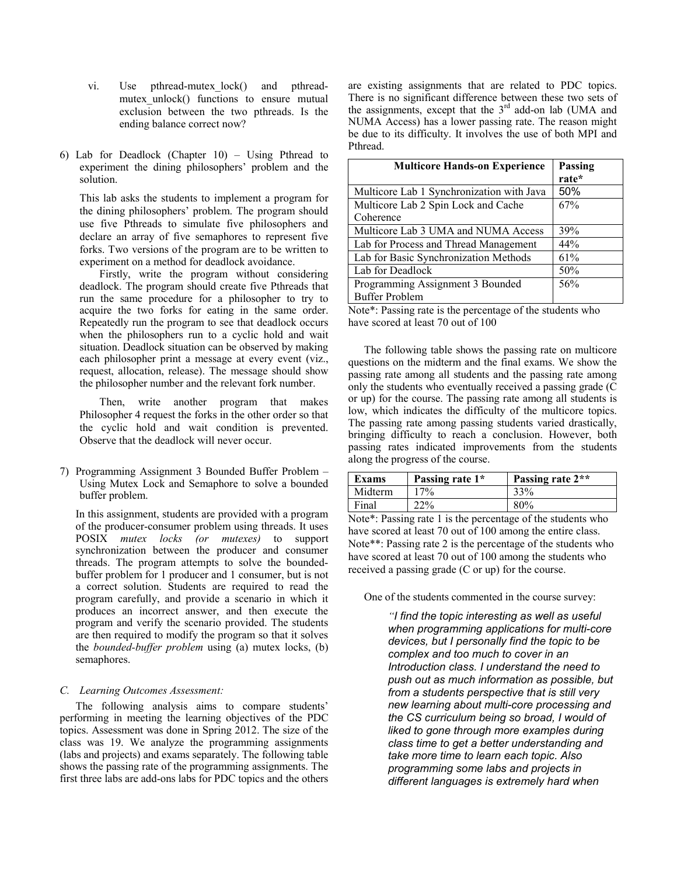- vi. Use pthread-mutex\_lock() and pthreadmutex\_unlock() functions to ensure mutual exclusion between the two pthreads. Is the ending balance correct now?
- 6) Lab for Deadlock (Chapter 10) Using Pthread to experiment the dining philosophers' problem and the solution.

This lab asks the students to implement a program for the dining philosophers' problem. The program should use five Pthreads to simulate five philosophers and declare an array of five semaphores to represent five forks. Two versions of the program are to be written to experiment on a method for deadlock avoidance.

Firstly, write the program without considering deadlock. The program should create five Pthreads that run the same procedure for a philosopher to try to acquire the two forks for eating in the same order. Repeatedly run the program to see that deadlock occurs when the philosophers run to a cyclic hold and wait situation. Deadlock situation can be observed by making each philosopher print a message at every event (viz., request, allocation, release). The message should show the philosopher number and the relevant fork number.

Then, write another program that makes Philosopher 4 request the forks in the other order so that the cyclic hold and wait condition is prevented. Observe that the deadlock will never occur.

7) Programming Assignment 3 Bounded Buffer Problem – Using Mutex Lock and Semaphore to solve a bounded buffer problem.

In this assignment, students are provided with a program of the producer-consumer problem using threads. It uses POSIX *mutex locks (or mutexes)* to support synchronization between the producer and consumer threads. The program attempts to solve the boundedbuffer problem for 1 producer and 1 consumer, but is not a correct solution. Students are required to read the program carefully, and provide a scenario in which it produces an incorrect answer, and then execute the program and verify the scenario provided. The students are then required to modify the program so that it solves the *bounded-buffer problem* using (a) mutex locks, (b) semaphores.

## *C. Learning Outcomes Assessment:*

The following analysis aims to compare students' performing in meeting the learning objectives of the PDC topics. Assessment was done in Spring 2012. The size of the class was 19. We analyze the programming assignments (labs and projects) and exams separately. The following table shows the passing rate of the programming assignments. The first three labs are add-ons labs for PDC topics and the others

are existing assignments that are related to PDC topics. There is no significant difference between these two sets of the assignments, except that the 3<sup>rd</sup> add-on lab (UMA and NUMA Access) has a lower passing rate. The reason might be due to its difficulty. It involves the use of both MPI and Pthread.

| <b>Multicore Hands-on Experience</b>      | Passing |
|-------------------------------------------|---------|
|                                           | rate*   |
| Multicore Lab 1 Synchronization with Java | 50%     |
| Multicore Lab 2 Spin Lock and Cache       | 67%     |
| Coherence                                 |         |
| Multicore Lab 3 UMA and NUMA Access       | 39%     |
| Lab for Process and Thread Management     | 44%     |
| Lab for Basic Synchronization Methods     | 61%     |
| Lab for Deadlock                          | 50%     |
| Programming Assignment 3 Bounded          | 56%     |
| <b>Buffer Problem</b>                     |         |

Note\*: Passing rate is the percentage of the students who have scored at least 70 out of 100

The following table shows the passing rate on multicore questions on the midterm and the final exams. We show the passing rate among all students and the passing rate among only the students who eventually received a passing grade (C or up) for the course. The passing rate among all students is low, which indicates the difficulty of the multicore topics. The passing rate among passing students varied drastically, bringing difficulty to reach a conclusion. However, both passing rates indicated improvements from the students along the progress of the course.

| <b>Exams</b> | Passing rate 1 <sup>*</sup> | Passing rate 2** |
|--------------|-----------------------------|------------------|
| Midterm      | 17%                         | 33%              |
| Final        | 22%                         | 80%              |

Note\*: Passing rate 1 is the percentage of the students who have scored at least 70 out of 100 among the entire class. Note\*\*: Passing rate 2 is the percentage of the students who have scored at least 70 out of 100 among the students who received a passing grade (C or up) for the course.

## One of the students commented in the course survey:

*"I find the topic interesting as well as useful when programming applications for multi-core devices, but I personally find the topic to be complex and too much to cover in an Introduction class. I understand the need to push out as much information as possible, but from a students perspective that is still very new learning about multi-core processing and the CS curriculum being so broad, I would of liked to gone through more examples during class time to get a better understanding and take more time to learn each topic. Also programming some labs and projects in different languages is extremely hard when*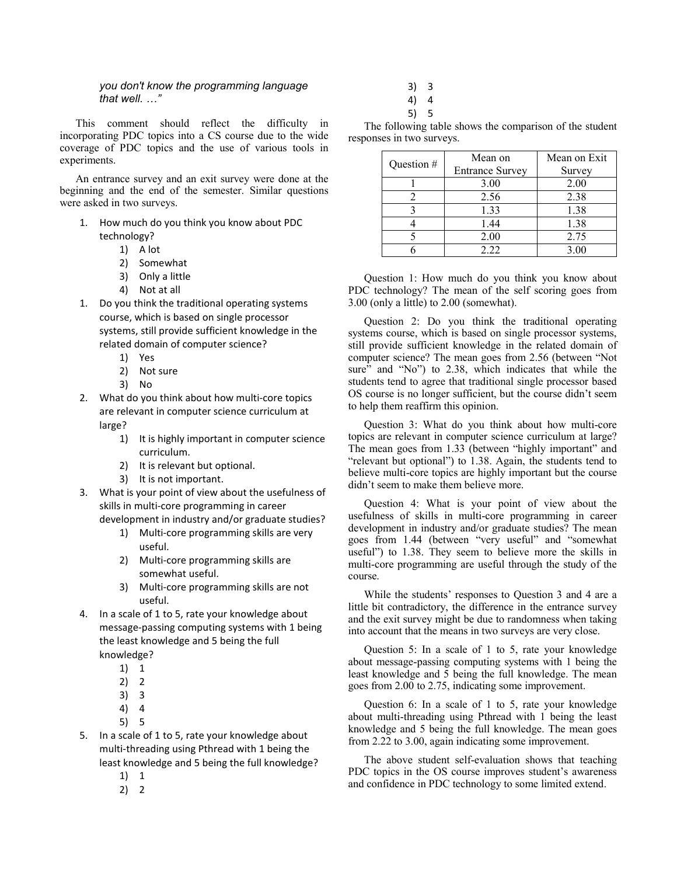# *you don't know the programming language that well. …"*

This comment should reflect the difficulty in incorporating PDC topics into a CS course due to the wide coverage of PDC topics and the use of various tools in experiments.

An entrance survey and an exit survey were done at the beginning and the end of the semester. Similar questions were asked in two surveys.

- 1. How much do you think you know about PDC technology?
	- 1) A lot
	- 2) Somewhat
	- 3) Only a little
	- 4) Not at all
- 1. Do you think the traditional operating systems course, which is based on single processor systems, still provide sufficient knowledge in the related domain of computer science?
	- 1) Yes
	- 2) Not sure
	- 3) No
- 2. What do you think about how multi-core topics are relevant in computer science curriculum at large?
	- 1) It is highly important in computer science curriculum.
	- 2) It is relevant but optional.
	- 3) It is not important.
- 3. What is your point of view about the usefulness of skills in multi-core programming in career
	- development in industry and/or graduate studies?
		- 1) Multi-core programming skills are very useful.
		- 2) Multi-core programming skills are somewhat useful.
		- 3) Multi-core programming skills are not useful.
- 4. In a scale of 1 to 5, rate your knowledge about message-passing computing systems with 1 being the least knowledge and 5 being the full knowledge?
	- 1) 1
	- 2) 2
	- 3) 3
	- 4) 4
	- 5) 5
- 5. In a scale of 1 to 5, rate your knowledge about multi-threading using Pthread with 1 being the least knowledge and 5 being the full knowledge?
	- 1) 1
	- 2) 2

3) 3

4) 4 5) 5

The following table shows the comparison of the student responses in two surveys.

| Question # | Mean on                | Mean on Exit |
|------------|------------------------|--------------|
|            | <b>Entrance Survey</b> | Survey       |
|            | 3.00                   | 2.00         |
|            | 2.56                   | 2.38         |
|            | 1.33                   | 1.38         |
|            | 1.44                   | 1.38         |
|            | 2.00                   | 2.75         |
|            | 2.22                   | 3.00         |

 Question 1: How much do you think you know about PDC technology? The mean of the self scoring goes from 3.00 (only a little) to 2.00 (somewhat).

Question 2: Do you think the traditional operating systems course, which is based on single processor systems, still provide sufficient knowledge in the related domain of computer science? The mean goes from 2.56 (between "Not sure" and "No") to 2.38, which indicates that while the students tend to agree that traditional single processor based OS course is no longer sufficient, but the course didn't seem to help them reaffirm this opinion.

Question 3: What do you think about how multi-core topics are relevant in computer science curriculum at large? The mean goes from 1.33 (between "highly important" and "relevant but optional") to 1.38. Again, the students tend to believe multi-core topics are highly important but the course didn't seem to make them believe more.

Question 4: What is your point of view about the usefulness of skills in multi-core programming in career development in industry and/or graduate studies? The mean goes from 1.44 (between "very useful" and "somewhat useful") to 1.38. They seem to believe more the skills in multi-core programming are useful through the study of the course.

While the students' responses to Question 3 and 4 are a little bit contradictory, the difference in the entrance survey and the exit survey might be due to randomness when taking into account that the means in two surveys are very close.

Question 5: In a scale of 1 to 5, rate your knowledge about message-passing computing systems with 1 being the least knowledge and 5 being the full knowledge. The mean goes from 2.00 to 2.75, indicating some improvement.

Question 6: In a scale of 1 to 5, rate your knowledge about multi-threading using Pthread with 1 being the least knowledge and 5 being the full knowledge. The mean goes from 2.22 to 3.00, again indicating some improvement.

The above student self-evaluation shows that teaching PDC topics in the OS course improves student's awareness and confidence in PDC technology to some limited extend.